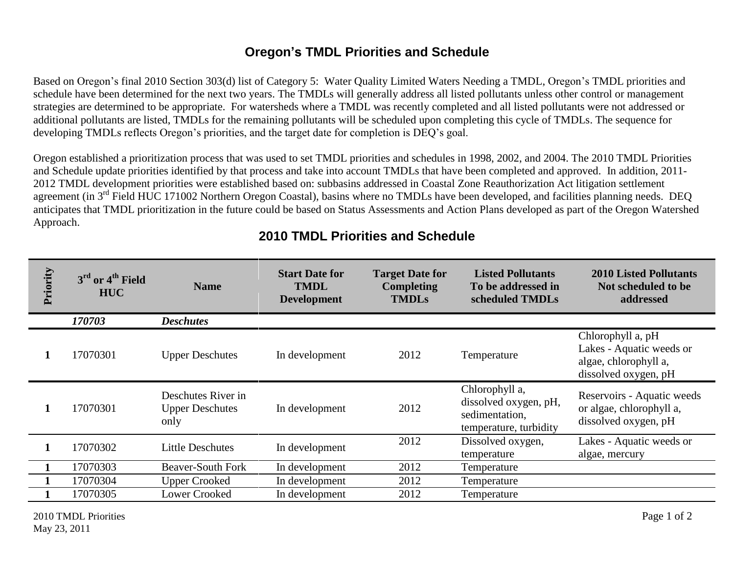## **Oregon's TMDL Priorities and Schedule**

Based on Oregon's final 2010 Section 303(d) list of Category 5: Water Quality Limited Waters Needing a TMDL, Oregon's TMDL priorities and schedule have been determined for the next two years. The TMDLs will generally address all listed pollutants unless other control or management strategies are determined to be appropriate. For watersheds where a TMDL was recently completed and all listed pollutants were not addressed or additional pollutants are listed, TMDLs for the remaining pollutants will be scheduled upon completing this cycle of TMDLs. The sequence for developing TMDLs reflects Oregon's priorities, and the target date for completion is DEQ's goal.

Oregon established a prioritization process that was used to set TMDL priorities and schedules in 1998, 2002, and 2004. The 2010 TMDL Priorities and Schedule update priorities identified by that process and take into account TMDLs that have been completed and approved. In addition, 2011- 2012 TMDL development priorities were established based on: subbasins addressed in Coastal Zone Reauthorization Act litigation settlement agreement (in 3<sup>rd</sup> Field HUC 171002 Northern Oregon Coastal), basins where no TMDLs have been developed, and facilities planning needs. DEQ anticipates that TMDL prioritization in the future could be based on Status Assessments and Action Plans developed as part of the Oregon Watershed Approach.

| Priority | $3^{\rm rd}$ or $4^{\rm th}$ Field<br><b>HUC</b> | <b>Name</b>                                          | <b>Start Date for</b><br><b>TMDL</b><br><b>Development</b> | <b>Target Date for</b><br><b>Completing</b><br><b>TMDLs</b> | <b>Listed Pollutants</b><br>To be addressed in<br>scheduled TMDLs                   | <b>2010 Listed Pollutants</b><br>Not scheduled to be<br>addressed                              |
|----------|--------------------------------------------------|------------------------------------------------------|------------------------------------------------------------|-------------------------------------------------------------|-------------------------------------------------------------------------------------|------------------------------------------------------------------------------------------------|
|          | 170703                                           | <b>Deschutes</b>                                     |                                                            |                                                             |                                                                                     |                                                                                                |
|          | 17070301                                         | <b>Upper Deschutes</b>                               | In development                                             | 2012                                                        | Temperature                                                                         | Chlorophyll a, pH<br>Lakes - Aquatic weeds or<br>algae, chlorophyll a,<br>dissolved oxygen, pH |
|          | 17070301                                         | Deschutes River in<br><b>Upper Deschutes</b><br>only | In development                                             | 2012                                                        | Chlorophyll a,<br>dissolved oxygen, pH,<br>sedimentation,<br>temperature, turbidity | Reservoirs - Aquatic weeds<br>or algae, chlorophyll a,<br>dissolved oxygen, pH                 |
|          | 17070302                                         | <b>Little Deschutes</b>                              | In development                                             | 2012                                                        | Dissolved oxygen,<br>temperature                                                    | Lakes - Aquatic weeds or<br>algae, mercury                                                     |
|          | 17070303                                         | <b>Beaver-South Fork</b>                             | In development                                             | 2012                                                        | Temperature                                                                         |                                                                                                |
|          | 17070304                                         | <b>Upper Crooked</b>                                 | In development                                             | 2012                                                        | Temperature                                                                         |                                                                                                |
|          | 17070305                                         | <b>Lower Crooked</b>                                 | In development                                             | 2012                                                        | Temperature                                                                         |                                                                                                |

## **2010 TMDL Priorities and Schedule**

2010 TMDL Priorities Page 1 of 2 May 23, 2011